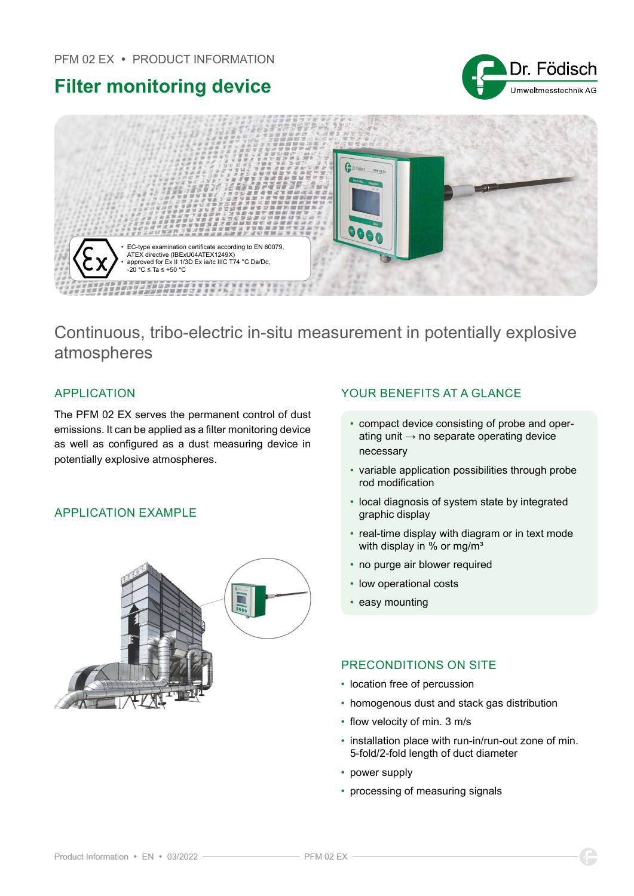





# Continuous, tribo-electric in-situ measurement in potentially explosive atmospheres

The PFM 02 EX serves the permanent control of dust emissions. It can be applied as a filter monitoring device as well as configured as a dust measuring device in potentially explosive atmospheres.

### APPLICATION EXAMPLE



# APPLICATION YOUR BENEFITS AT A GLANCE

- compact device consisting of probe and operating unit  $\rightarrow$  no separate operating device necessary
- variable application possibilities through probe rod modification
- local diagnosis of system state by integrated graphic display
- real-time display with diagram or in text mode with display in % or mg/m<sup>3</sup>
- no purge air blower required
- low operational costs
- easy mounting

### PRECONDITIONS ON SITE

- location free of percussion
- homogenous dust and stack gas distribution
- flow velocity of min. 3 m/s
- installation place with run-in/run-out zone of min. 5-fold/2-fold length of duct diameter
- power supply
- processing of measuring signals